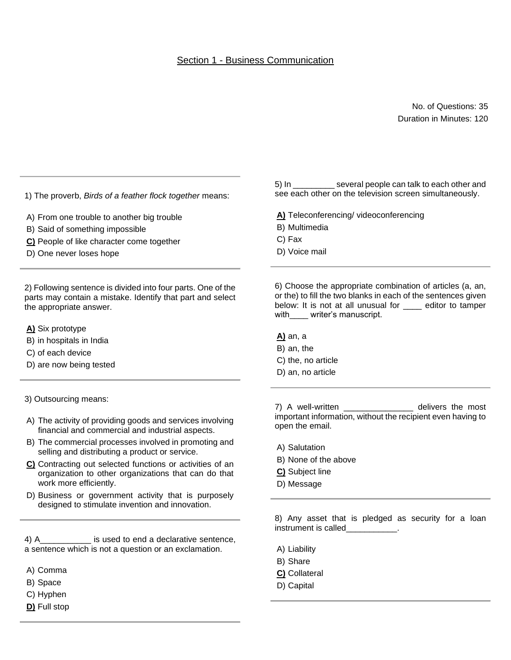No. of Questions: 35 Duration in Minutes: 120

1) The proverb, *Birds of a feather flock together* means:

- A) From one trouble to another big trouble
- B) Said of something impossible
- **C)** People of like character come together
- D) One never loses hope

2) Following sentence is divided into four parts. One of the parts may contain a mistake. Identify that part and select the appropriate answer.

- **A)** Six prototype
- B) in hospitals in India
- C) of each device
- D) are now being tested
- 3) Outsourcing means:
- A) The activity of providing goods and services involving financial and commercial and industrial aspects.
- B) The commercial processes involved in promoting and selling and distributing a product or service.
- **C)** Contracting out selected functions or activities of an organization to other organizations that can do that work more efficiently.
- D) Business or government activity that is purposely designed to stimulate invention and innovation.

4) A\_\_\_\_\_\_\_\_\_\_\_ is used to end a declarative sentence, a sentence which is not a question or an exclamation.

- A) Comma
- B) Space
- C) Hyphen
- **D)** Full stop

5) In several people can talk to each other and see each other on the television screen simultaneously.

- **A)** Teleconferencing/ videoconferencing
- B) Multimedia
- C) Fax
- D) Voice mail

6) Choose the appropriate combination of articles (a, an, or the) to fill the two blanks in each of the sentences given below: It is not at all unusual for editor to tamper with writer's manuscript.

#### **A)** an, a

- B) an, the
- C) the, no article
- D) an, no article

7) A well-written \_\_\_\_\_\_\_\_\_\_\_\_\_\_\_\_\_ delivers the most important information, without the recipient even having to open the email.

- A) Salutation
- B) None of the above
- **C)** Subject line
- D) Message

8) Any asset that is pledged as security for a loan instrument is called

- A) Liability
- B) Share
- **C)** Collateral
- D) Capital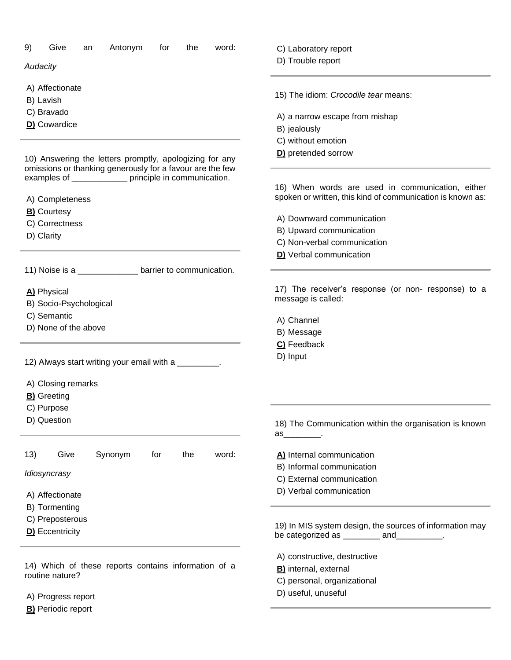| Antonym<br>9)<br>Give<br>word:<br>for<br>the<br>an                                                                                                                            | C) Laboratory report                                                                                     |
|-------------------------------------------------------------------------------------------------------------------------------------------------------------------------------|----------------------------------------------------------------------------------------------------------|
| Audacity                                                                                                                                                                      | D) Trouble report                                                                                        |
| A) Affectionate<br>B) Lavish                                                                                                                                                  | 15) The idiom: Crocodile tear means:                                                                     |
| C) Bravado                                                                                                                                                                    |                                                                                                          |
| D) Cowardice                                                                                                                                                                  | A) a narrow escape from mishap                                                                           |
|                                                                                                                                                                               | B) jealously                                                                                             |
|                                                                                                                                                                               | C) without emotion                                                                                       |
| 10) Answering the letters promptly, apologizing for any<br>omissions or thanking generously for a favour are the few<br>examples of _____________ principle in communication. | D) pretended sorrow<br>16) When words are used in communication, either                                  |
|                                                                                                                                                                               | spoken or written, this kind of communication is known as:                                               |
| A) Completeness<br><b>B)</b> Courtesy                                                                                                                                         |                                                                                                          |
| C) Correctness                                                                                                                                                                | A) Downward communication                                                                                |
| D) Clarity                                                                                                                                                                    | B) Upward communication                                                                                  |
|                                                                                                                                                                               | C) Non-verbal communication                                                                              |
|                                                                                                                                                                               | D) Verbal communication                                                                                  |
| 11) Noise is a ________________ barrier to communication.                                                                                                                     |                                                                                                          |
| A) Physical<br>B) Socio-Psychological                                                                                                                                         | 17) The receiver's response (or non- response) to a<br>message is called:                                |
| C) Semantic                                                                                                                                                                   |                                                                                                          |
| D) None of the above                                                                                                                                                          | A) Channel                                                                                               |
|                                                                                                                                                                               | B) Message                                                                                               |
|                                                                                                                                                                               | C) Feedback                                                                                              |
| 12) Always start writing your email with a _________.                                                                                                                         | D) Input                                                                                                 |
| A) Closing remarks                                                                                                                                                            |                                                                                                          |
| <b>B)</b> Greeting                                                                                                                                                            |                                                                                                          |
| C) Purpose                                                                                                                                                                    |                                                                                                          |
| D) Question                                                                                                                                                                   | 18) The Communication within the organisation is known                                                   |
|                                                                                                                                                                               | $\mathsf{as}$ .                                                                                          |
| Give<br>Synonym<br>13)<br>for<br>the<br>word:                                                                                                                                 | A) Internal communication                                                                                |
|                                                                                                                                                                               | B) Informal communication                                                                                |
| Idiosyncrasy                                                                                                                                                                  | C) External communication                                                                                |
| A) Affectionate                                                                                                                                                               | D) Verbal communication                                                                                  |
| B) Tormenting                                                                                                                                                                 |                                                                                                          |
| C) Preposterous                                                                                                                                                               |                                                                                                          |
| D) Eccentricity                                                                                                                                                               | 19) In MIS system design, the sources of information may<br>be categorized as __________ and __________. |
|                                                                                                                                                                               | A) constructive, destructive                                                                             |
| 14) Which of these reports contains information of a                                                                                                                          | <b>B)</b> internal, external                                                                             |
| routine nature?                                                                                                                                                               | C) personal, organizational                                                                              |
| A) Progress report                                                                                                                                                            | D) useful, unuseful                                                                                      |
| <b>B)</b> Periodic report                                                                                                                                                     |                                                                                                          |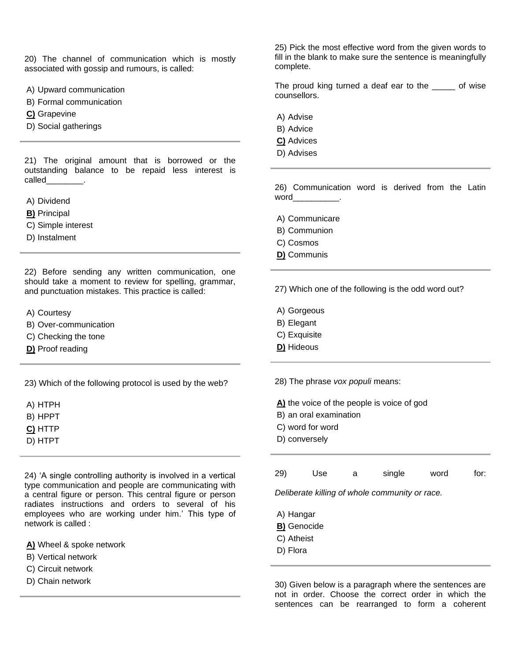20) The channel of communication which is mostly associated with gossip and rumours, is called:

- A) Upward communication
- B) Formal communication
- **C)** Grapevine
- D) Social gatherings

21) The original amount that is borrowed or the outstanding balance to be repaid less interest is called called

- A) Dividend
- **B)** Principal
- C) Simple interest
- D) Instalment

22) Before sending any written communication, one should take a moment to review for spelling, grammar, and punctuation mistakes. This practice is called:

- A) Courtesy
- B) Over-communication
- C) Checking the tone
- **D)** Proof reading

23) Which of the following protocol is used by the web?

- A) HTPH
- B) HPPT
- **C)** HTTP
- D) HTPT

24) 'A single controlling authority is involved in a vertical type communication and people are communicating with a central figure or person. This central figure or person radiates instructions and orders to several of his employees who are working under him.' This type of network is called :

**A)** Wheel & spoke network

- B) Vertical network
- C) Circuit network
- D) Chain network

25) Pick the most effective word from the given words to fill in the blank to make sure the sentence is meaningfully complete.

The proud king turned a deaf ear to the \_\_\_\_\_ of wise counsellors.

- A) Advise
- B) Advice
- **C)** Advices
- D) Advises

26) Communication word is derived from the Latin  $word$ .

- A) Communicare
- B) Communion
- C) Cosmos
- **D)** Communis

27) Which one of the following is the odd word out?

- A) Gorgeous
- B) Elegant
- C) Exquisite
- **D)** Hideous

28) The phrase *vox populi* means:

**A)** the voice of the people is voice of god

- B) an oral examination
- C) word for word
- D) conversely

| 29) | Use | single | word | for: |
|-----|-----|--------|------|------|
|     |     |        |      |      |

*Deliberate killing of whole community or race.*

- A) Hangar
- **B)** Genocide
- C) Atheist
- D) Flora

30) Given below is a paragraph where the sentences are not in order. Choose the correct order in which the sentences can be rearranged to form a coherent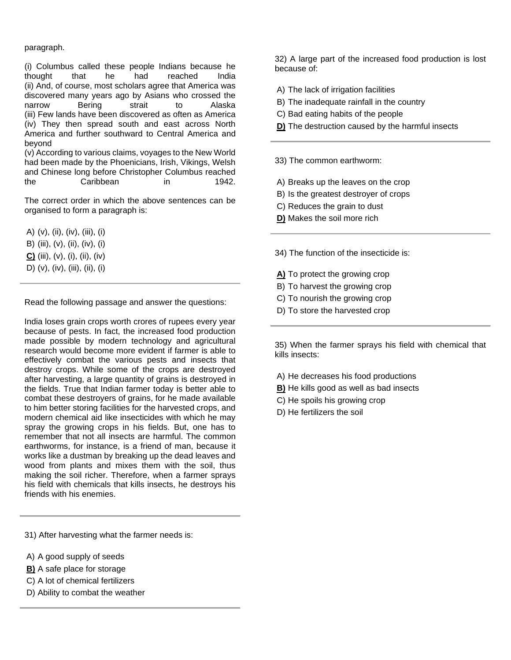#### paragraph.

(i) Columbus called these people Indians because he thought that he had reached India (ii) And, of course, most scholars agree that America was discovered many years ago by Asians who crossed the narrow Bering strait to Alaska (iii) Few lands have been discovered as often as America (iv) They then spread south and east across North America and further southward to Central America and beyond

(v) According to various claims, voyages to the New World had been made by the Phoenicians, Irish, Vikings, Welsh and Chinese long before Christopher Columbus reached the Caribbean in 1942.

The correct order in which the above sentences can be organised to form a paragraph is:

A)  $(v)$ ,  $(ii)$ ,  $(iv)$ ,  $(iii)$ ,  $(i)$ B) (iii), (v), (ii), (iv), (i) **C)** (iii), (v), (i), (ii), (iv) D) (v), (iv), (iii), (ii), (i)

Read the following passage and answer the questions:

India loses grain crops worth crores of rupees every year because of pests. In fact, the increased food production made possible by modern technology and agricultural research would become more evident if farmer is able to effectively combat the various pests and insects that destroy crops. While some of the crops are destroyed after harvesting, a large quantity of grains is destroyed in the fields. True that Indian farmer today is better able to combat these destroyers of grains, for he made available to him better storing facilities for the harvested crops, and modern chemical aid like insecticides with which he may spray the growing crops in his fields. But, one has to remember that not all insects are harmful. The common earthworms, for instance, is a friend of man, because it works like a dustman by breaking up the dead leaves and wood from plants and mixes them with the soil, thus making the soil richer. Therefore, when a farmer sprays his field with chemicals that kills insects, he destroys his friends with his enemies.

31) After harvesting what the farmer needs is:

- A) A good supply of seeds
- **B)** A safe place for storage
- C) A lot of chemical fertilizers
- D) Ability to combat the weather

32) A large part of the increased food production is lost because of:

- A) The lack of irrigation facilities
- B) The inadequate rainfall in the country
- C) Bad eating habits of the people
- **D)** The destruction caused by the harmful insects

33) The common earthworm:

- A) Breaks up the leaves on the crop
- B) Is the greatest destroyer of crops
- C) Reduces the grain to dust
- **D)** Makes the soil more rich

34) The function of the insecticide is:

- **A)** To protect the growing crop
- B) To harvest the growing crop
- C) To nourish the growing crop
- D) To store the harvested crop

35) When the farmer sprays his field with chemical that kills insects:

- A) He decreases his food productions
- **B)** He kills good as well as bad insects
- C) He spoils his growing crop
- D) He fertilizers the soil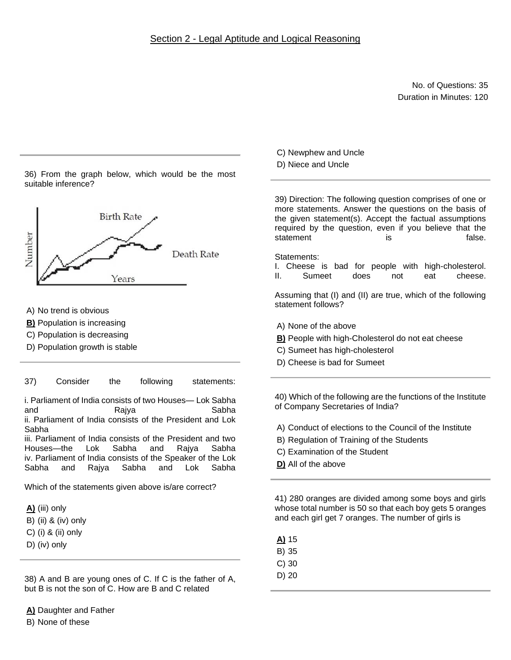## Section 2 - Legal Aptitude and Logical Reasoning

No. of Questions: 35 Duration in Minutes: 120

36) From the graph below, which would be the most suitable inference?



- A) No trend is obvious
- **B)** Population is increasing
- C) Population is decreasing
- D) Population growth is stable

37) Consider the following statements:

i. Parliament of India consists of two Houses— Lok Sabha and Rajya Sabha ii. Parliament of India consists of the President and Lok Sabha

iii. Parliament of India consists of the President and two Houses—the Lok Sabha and Rajya Sabha iv. Parliament of India consists of the Speaker of the Lok Sabha and Rajya Sabha and Lok Sabha

Which of the statements given above is/are correct?

**A)** (iii) only

- B) (ii) & (iv) only
- C) (i) & (ii) only
- D) (iv) only

38) A and B are young ones of C. If C is the father of A, but B is not the son of C. How are B and C related

**A)** Daughter and Father B) None of these

C) Newphew and Uncle

D) Niece and Uncle

39) Direction: The following question comprises of one or more statements. Answer the questions on the basis of the given statement(s). Accept the factual assumptions required by the question, even if you believe that the statement is is false.

Statements:

- I. Cheese is bad for people with high-cholesterol.
- II. Sumeet does not eat cheese.

Assuming that (I) and (II) are true, which of the following statement follows?

- A) None of the above
- **B)** People with high-Cholesterol do not eat cheese
- C) Sumeet has high-cholesterol
- D) Cheese is bad for Sumeet

40) Which of the following are the functions of the Institute of Company Secretaries of India?

- A) Conduct of elections to the Council of the Institute
- B) Regulation of Training of the Students
- C) Examination of the Student
- **D)** All of the above

41) 280 oranges are divided among some boys and girls whose total number is 50 so that each boy gets 5 oranges and each girl get 7 oranges. The number of girls is

- **A)** 15
- B) 35
- C) 30
- D) 20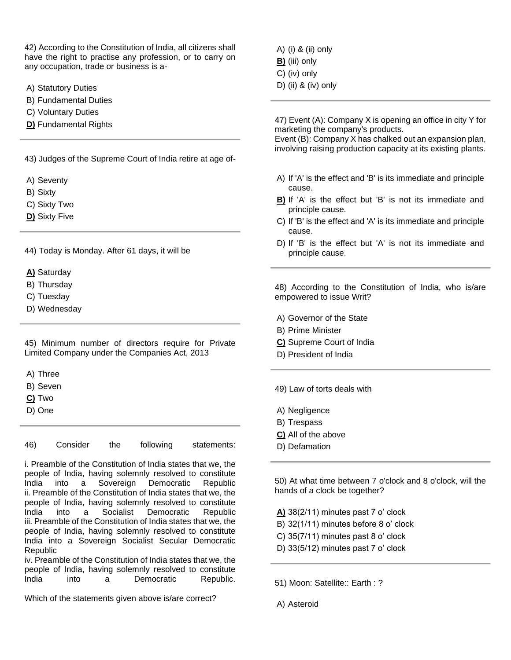42) According to the Constitution of India, all citizens shall have the right to practise any profession, or to carry on any occupation, trade or business is a-

- A) Statutory Duties
- B) Fundamental Duties
- C) Voluntary Duties
- **D)** Fundamental Rights

43) Judges of the Supreme Court of India retire at age of-

- A) Seventy
- B) Sixty
- C) Sixty Two
- **D)** Sixty Five

44) Today is Monday. After 61 days, it will be

- **A)** Saturday
- B) Thursday
- C) Tuesday
- D) Wednesday

45) Minimum number of directors require for Private Limited Company under the Companies Act, 2013

A) Three

- B) Seven
- **C)** Two
- D) One

46) Consider the following statements:

i. Preamble of the Constitution of India states that we, the people of India, having solemnly resolved to constitute India into a Sovereign Democratic Republic ii. Preamble of the Constitution of India states that we, the people of India, having solemnly resolved to constitute India into a Socialist Democratic Republic iii. Preamble of the Constitution of India states that we, the people of India, having solemnly resolved to constitute India into a Sovereign Socialist Secular Democratic **Republic** 

iv. Preamble of the Constitution of India states that we, the people of India, having solemnly resolved to constitute India into a Democratic Republic.

Which of the statements given above is/are correct?

A) (i) & (ii) only **B)** (iii) only C) (iv) only D) (ii) & (iv) only

47) Event (A): Company X is opening an office in city Y for marketing the company's products.

Event (B): Company X has chalked out an expansion plan, involving raising production capacity at its existing plants.

- A) If 'A' is the effect and 'B' is its immediate and principle cause.
- **B)** If 'A' is the effect but 'B' is not its immediate and principle cause.
- C) If 'B' is the effect and 'A' is its immediate and principle cause.
- D) If 'B' is the effect but 'A' is not its immediate and principle cause.

48) According to the Constitution of India, who is/are empowered to issue Writ?

- A) Governor of the State
- B) Prime Minister
- **C)** Supreme Court of India
- D) President of India

49) Law of torts deals with

- A) Negligence
- B) Trespass
- **C)** All of the above
- D) Defamation

50) At what time between 7 o'clock and 8 o'clock, will the hands of a clock be together?

**A)** 38(2/11) minutes past 7 o' clock

- B) 32(1/11) minutes before 8 o' clock
- C) 35(7/11) minutes past 8 o' clock
- D) 33(5/12) minutes past 7 o' clock

51) Moon: Satellite:: Earth : ?

A) Asteroid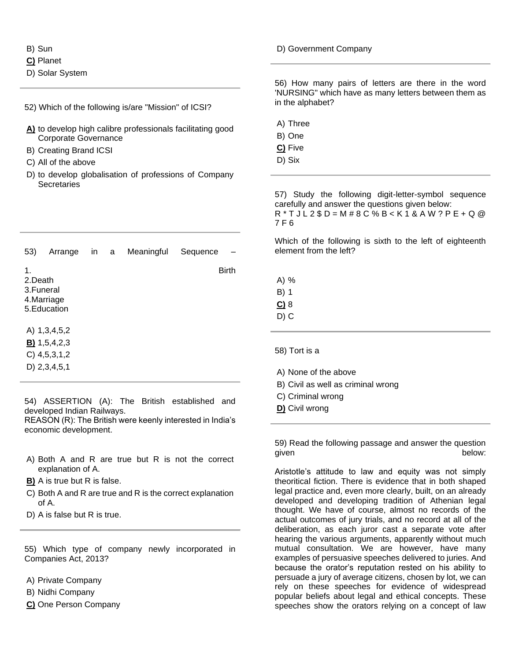#### B) Sun

- **C)** Planet
- D) Solar System

#### 52) Which of the following is/are "Mission" of ICSI?

- **A)** to develop high calibre professionals facilitating good Corporate Governance
- B) Creating Brand ICSI
- C) All of the above
- D) to develop globalisation of professions of Company **Secretaries**

| 53)                         | Arrange                    | in | a | Meaningful | Sequence     |
|-----------------------------|----------------------------|----|---|------------|--------------|
| 1.<br>2.Death<br>3. Funeral | 4.Marriage<br>5. Education |    |   |            | <b>Birth</b> |
|                             | A) 1,3,4,5,2               |    |   |            |              |
|                             | $B)$ 1,5,4,2,3             |    |   |            |              |
|                             | $C)$ 4,5,3,1,2             |    |   |            |              |
|                             | $D)$ 2, 3, 4, 5, 1         |    |   |            |              |

54) ASSERTION (A): The British established and developed Indian Railways.

REASON (R): The British were keenly interested in India's economic development.

- A) Both A and R are true but R is not the correct explanation of A.
- **B)** A is true but R is false.
- C) Both A and R are true and R is the correct explanation of A.
- D) A is false but R is true.

55) Which type of company newly incorporated in Companies Act, 2013?

- A) Private Company
- B) Nidhi Company
- **C)** One Person Company

### D) Government Company

56) How many pairs of letters are there in the word 'NURSING" which have as many letters between them as in the alphabet?

- A) Three
- B) One
- **C)** Five
- D) Six

57) Study the following digit-letter-symbol sequence carefully and answer the questions given below: R \* T J L 2 \$ D = M # 8 C % B < K 1 & A W ? P E + Q @ 7 F 6

Which of the following is sixth to the left of eighteenth element from the left?

A) % B) 1 **C)** 8 D) C

58) Tort is a

- A) None of the above
- B) Civil as well as criminal wrong
- C) Criminal wrong
- **D)** Civil wrong

59) Read the following passage and answer the question given below:

Aristotle's attitude to law and equity was not simply theoritical fiction. There is evidence that in both shaped legal practice and, even more clearly, built, on an already developed and developing tradition of Athenian legal thought. We have of course, almost no records of the actual outcomes of jury trials, and no record at all of the deliberation, as each juror cast a separate vote after hearing the various arguments, apparently without much mutual consultation. We are however, have many examples of persuasive speeches delivered to juries. And because the orator's reputation rested on his ability to persuade a jury of average citizens, chosen by lot, we can rely on these speeches for evidence of widespread popular beliefs about legal and ethical concepts. These speeches show the orators relying on a concept of law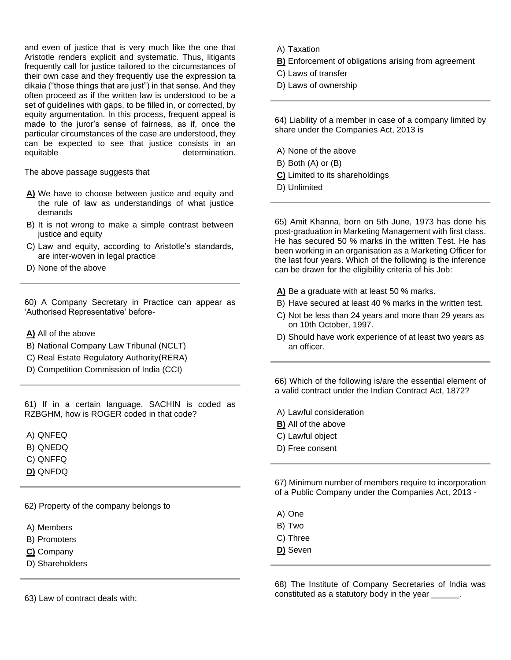and even of justice that is very much like the one that Aristotle renders explicit and systematic. Thus, litigants frequently call for justice tailored to the circumstances of their own case and they frequently use the expression ta dikaia ("those things that are just") in that sense. And they often proceed as if the written law is understood to be a set of guidelines with gaps, to be filled in, or corrected, by equity argumentation. In this process, frequent appeal is made to the juror's sense of fairness, as if, once the particular circumstances of the case are understood, they can be expected to see that justice consists in an equitable equitable determination.

The above passage suggests that

- **A)** We have to choose between justice and equity and the rule of law as understandings of what justice demands
- B) It is not wrong to make a simple contrast between justice and equity
- C) Law and equity, according to Aristotle's standards, are inter-woven in legal practice
- D) None of the above

60) A Company Secretary in Practice can appear as 'Authorised Representative' before-

- **A)** All of the above
- B) National Company Law Tribunal (NCLT)
- C) Real Estate Regulatory Authority(RERA)
- D) Competition Commission of India (CCI)

61) If in a certain language, SACHIN is coded as RZBGHM, how is ROGER coded in that code?

- A) QNFEQ
- B) QNEDQ
- C) QNFFQ
- **D)** QNFDQ

62) Property of the company belongs to

- A) Members
- B) Promoters
- **C)** Company
- D) Shareholders

63) Law of contract deals with:

- A) Taxation
- **B)** Enforcement of obligations arising from agreement
- C) Laws of transfer
- D) Laws of ownership

64) Liability of a member in case of a company limited by share under the Companies Act, 2013 is

- A) None of the above
- B) Both (A) or (B)
- **C)** Limited to its shareholdings
- D) Unlimited

65) Amit Khanna, born on 5th June, 1973 has done his post-graduation in Marketing Management with first class. He has secured 50 % marks in the written Test. He has been working in an organisation as a Marketing Officer for the last four years. Which of the following is the inference can be drawn for the eligibility criteria of his Job:

- **A)** Be a graduate with at least 50 % marks.
- B) Have secured at least 40 % marks in the written test.
- C) Not be less than 24 years and more than 29 years as on 10th October, 1997.
- D) Should have work experience of at least two years as an officer.

66) Which of the following is/are the essential element of a valid contract under the Indian Contract Act, 1872?

A) Lawful consideration

- **B)** All of the above
- C) Lawful object
- D) Free consent

67) Minimum number of members require to incorporation of a Public Company under the Companies Act, 2013 -

- A) One
- B) Two
- C) Three
- **D)** Seven

68) The Institute of Company Secretaries of India was constituted as a statutory body in the year \_\_\_\_\_\_.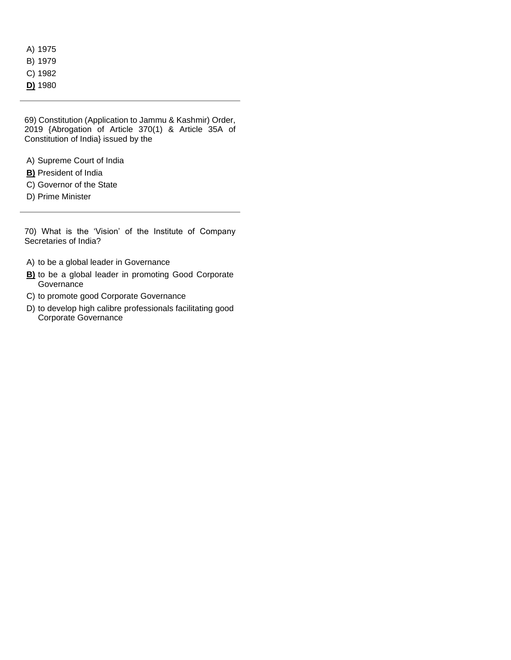- A) 1975
- B) 1979
- C) 1982
- **D)** 1980

69) Constitution (Application to Jammu & Kashmir) Order, 2019 {Abrogation of Article 370(1) & Article 35A of Constitution of India} issued by the

- A) Supreme Court of India
- **B)** President of India
- C) Governor of the State
- D) Prime Minister

70) What is the 'Vision' of the Institute of Company Secretaries of India?

- A) to be a global leader in Governance
- **B)** to be a global leader in promoting Good Corporate **Governance**
- C) to promote good Corporate Governance
- D) to develop high calibre professionals facilitating good Corporate Governance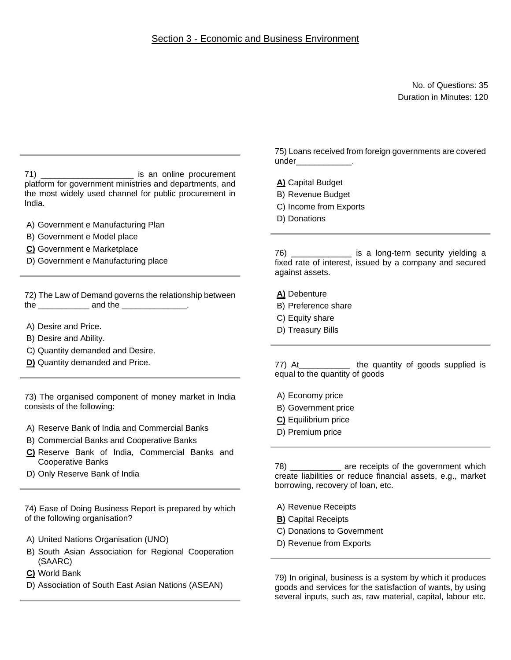No. of Questions: 35 Duration in Minutes: 120

71) \_\_\_\_\_\_\_\_\_\_\_\_\_\_\_\_\_\_\_\_ is an online procurement platform for government ministries and departments, and the most widely used channel for public procurement in India.

- A) Government e Manufacturing Plan
- B) Government e Model place
- **C)** Government e Marketplace
- D) Government e Manufacturing place

72) The Law of Demand governs the relationship between the \_\_\_\_\_\_\_\_\_\_\_\_\_\_\_ and the \_\_\_\_\_\_\_\_\_\_\_\_\_\_\_\_.

- A) Desire and Price.
- B) Desire and Ability.
- C) Quantity demanded and Desire.
- **D)** Quantity demanded and Price.

73) The organised component of money market in India consists of the following:

- A) Reserve Bank of India and Commercial Banks
- B) Commercial Banks and Cooperative Banks
- **C)** Reserve Bank of India, Commercial Banks and Cooperative Banks
- D) Only Reserve Bank of India

74) Ease of Doing Business Report is prepared by which of the following organisation?

- A) United Nations Organisation (UNO)
- B) South Asian Association for Regional Cooperation (SAARC)
- **C)** World Bank
- D) Association of South East Asian Nations (ASEAN)

75) Loans received from foreign governments are covered under\_\_\_\_\_\_\_\_\_\_\_\_\_.

**A)** Capital Budget

- B) Revenue Budget
- C) Income from Exports
- D) Donations

76) \_\_\_\_\_\_\_\_\_\_\_\_\_ is a long-term security yielding a fixed rate of interest, issued by a company and secured against assets.

**A)** Debenture

- B) Preference share
- C) Equity share
- D) Treasury Bills

77) At\_\_\_\_\_\_\_\_\_\_\_ the quantity of goods supplied is equal to the quantity of goods

- A) Economy price
- B) Government price
- **C)** Equilibrium price
- D) Premium price

78) \_\_\_\_\_\_\_\_\_\_\_ are receipts of the government which create liabilities or reduce financial assets, e.g., market borrowing, recovery of loan, etc.

- A) Revenue Receipts
- **B)** Capital Receipts
- C) Donations to Government
- D) Revenue from Exports

79) In original, business is a system by which it produces goods and services for the satisfaction of wants, by using several inputs, such as, raw material, capital, labour etc.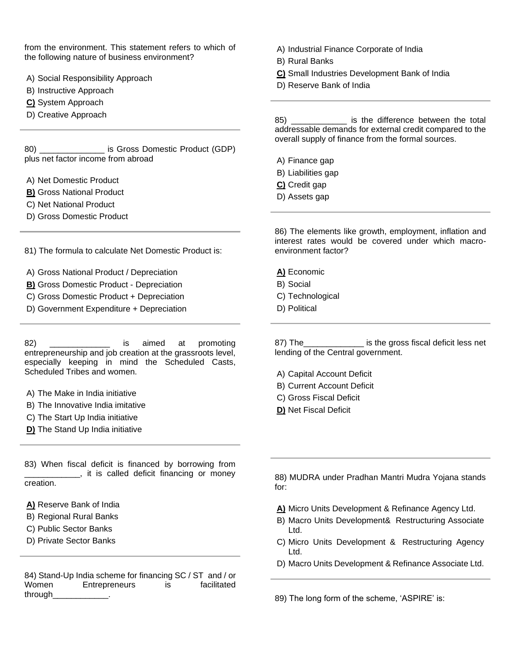from the environment. This statement refers to which of the following nature of business environment?

- A) Social Responsibility Approach
- B) Instructive Approach
- **C)** System Approach
- D) Creative Approach

80) \_\_\_\_\_\_\_\_\_\_\_\_\_\_ is Gross Domestic Product (GDP) plus net factor income from abroad

- A) Net Domestic Product
- **B)** Gross National Product
- C) Net National Product
- D) Gross Domestic Product

81) The formula to calculate Net Domestic Product is:

- A) Gross National Product / Depreciation
- **B)** Gross Domestic Product Depreciation
- C) Gross Domestic Product + Depreciation
- D) Government Expenditure + Depreciation

82) \_\_\_\_\_\_\_\_\_\_\_\_\_ is aimed at promoting entrepreneurship and job creation at the grassroots level, especially keeping in mind the Scheduled Casts, Scheduled Tribes and women.

- A) The Make in India initiative
- B) The Innovative India imitative
- C) The Start Up India initiative
- **D)** The Stand Up India initiative

83) When fiscal deficit is financed by borrowing from **12.**, it is called deficit financing or money creation.

**A)** Reserve Bank of India

- B) Regional Rural Banks
- C) Public Sector Banks
- D) Private Sector Banks

84) Stand-Up India scheme for financing SC / ST and / or Women Entrepreneurs is facilitated through\_\_\_\_\_\_\_\_\_\_\_\_.

A) Industrial Finance Corporate of India

- B) Rural Banks
- **C)** Small Industries Development Bank of India
- D) Reserve Bank of India

85) \_\_\_\_\_\_\_\_\_\_\_\_ is the difference between the total addressable demands for external credit compared to the overall supply of finance from the formal sources.

- A) Finance gap
- B) Liabilities gap
- **C)** Credit gap
- D) Assets gap

86) The elements like growth, employment, inflation and interest rates would be covered under which macroenvironment factor?

- **A)** Economic
- B) Social
- C) Technological
- D) Political

87) The\_\_\_\_\_\_\_\_\_\_\_\_\_ is the gross fiscal deficit less net lending of the Central government.

- A) Capital Account Deficit
- B) Current Account Deficit
- C) Gross Fiscal Deficit
- **D)** Net Fiscal Deficit
- 88) MUDRA under Pradhan Mantri Mudra Yojana stands for:
- **A)** Micro Units Development & Refinance Agency Ltd.
- B) Macro Units Development& Restructuring Associate Ltd.
- C) Micro Units Development & Restructuring Agency Ltd.
- D) Macro Units Development & Refinance Associate Ltd.

89) The long form of the scheme, 'ASPIRE' is: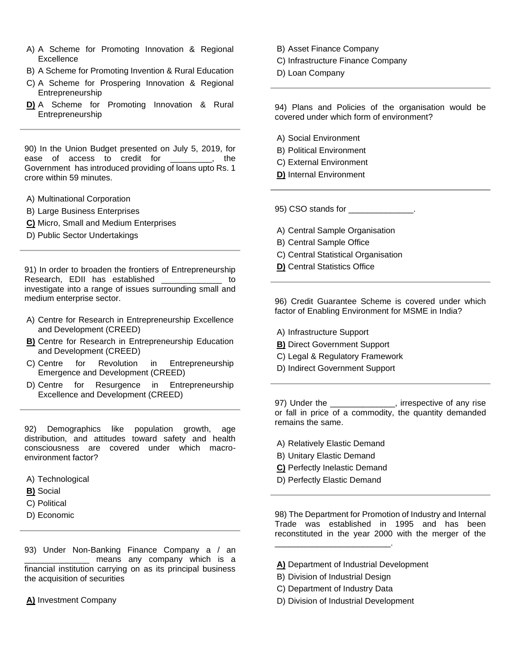- A) A Scheme for Promoting Innovation & Regional **Excellence**
- B) A Scheme for Promoting Invention & Rural Education
- C) A Scheme for Prospering Innovation & Regional Entrepreneurship
- **D)** A Scheme for Promoting Innovation & Rural Entrepreneurship

90) In the Union Budget presented on July 5, 2019, for ease of access to credit for \_\_\_\_\_\_\_\_\_, the Government has introduced providing of loans upto Rs. 1 crore within 59 minutes.

- A) Multinational Corporation
- B) Large Business Enterprises
- **C)** Micro, Small and Medium Enterprises
- D) Public Sector Undertakings

91) In order to broaden the frontiers of Entrepreneurship Research, EDII has established \_\_\_\_\_\_\_\_\_\_\_\_ to investigate into a range of issues surrounding small and medium enterprise sector.

- A) Centre for Research in Entrepreneurship Excellence and Development (CREED)
- **B)** Centre for Research in Entrepreneurship Education and Development (CREED)
- C) Centre for Revolution in Entrepreneurship Emergence and Development (CREED)
- D) Centre for Resurgence in Entrepreneurship Excellence and Development (CREED)

92) Demographics like population growth, age distribution, and attitudes toward safety and health consciousness are covered under which macroenvironment factor?

- A) Technological
- **B)** Social
- C) Political
- D) Economic

93) Under Non-Banking Finance Company a / an \_\_\_\_\_\_\_\_\_\_\_\_\_\_ means any company which is a financial institution carrying on as its principal business the acquisition of securities

**A)** Investment Company

- B) Asset Finance Company
- C) Infrastructure Finance Company
- D) Loan Company

94) Plans and Policies of the organisation would be covered under which form of environment?

- A) Social Environment
- B) Political Environment
- C) External Environment
- **D)** Internal Environment

95) CSO stands for \_\_\_\_\_\_\_\_\_\_\_\_\_\_.

- A) Central Sample Organisation
- B) Central Sample Office
- C) Central Statistical Organisation
- **D)** Central Statistics Office

96) Credit Guarantee Scheme is covered under which factor of Enabling Environment for MSME in India?

- A) Infrastructure Support
- **B)** Direct Government Support
- C) Legal & Regulatory Framework
- D) Indirect Government Support

97) Under the \_\_\_\_\_\_\_\_\_\_\_\_\_, irrespective of any rise or fall in price of a commodity, the quantity demanded remains the same.

- A) Relatively Elastic Demand
- B) Unitary Elastic Demand
- **C)** Perfectly Inelastic Demand
- D) Perfectly Elastic Demand

98) The Department for Promotion of Industry and Internal Trade was established in 1995 and has been reconstituted in the year 2000 with the merger of the

- **A)** Department of Industrial Development
- B) Division of Industrial Design

\_\_\_\_\_\_\_\_\_\_\_\_\_\_\_\_\_\_\_\_\_\_\_\_\_.

- C) Department of Industry Data
- D) Division of Industrial Development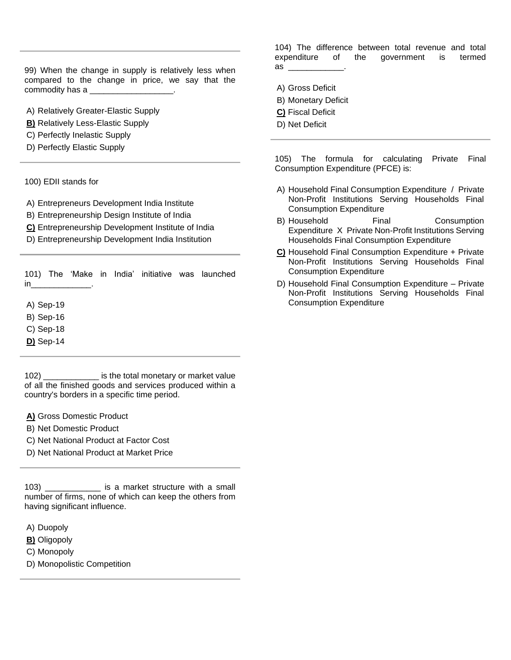99) When the change in supply is relatively less when compared to the change in price, we say that the commodity has a

A) Relatively Greater-Elastic Supply

- **B)** Relatively Less-Elastic Supply
- C) Perfectly Inelastic Supply
- D) Perfectly Elastic Supply

100) EDII stands for

A) Entrepreneurs Development India Institute

B) Entrepreneurship Design Institute of India

- **C)** Entrepreneurship Development Institute of India
- D) Entrepreneurship Development India Institution

101) The 'Make in India' initiative was launched  $in$ 

A) Sep-19

- B) Sep-16
- C) Sep-18
- **D)** Sep-14

102) \_\_\_\_\_\_\_\_\_\_\_\_ is the total monetary or market value of all the finished goods and services produced within a country's borders in a specific time period.

**A)** Gross Domestic Product

- B) Net Domestic Product
- C) Net National Product at Factor Cost
- D) Net National Product at Market Price

103) **Example 103** is a market structure with a small number of firms, none of which can keep the others from having significant influence.

- A) Duopoly
- **B)** Oligopoly
- C) Monopoly

D) Monopolistic Competition

104) The difference between total revenue and total expenditure of the government is termed as  $\overline{\phantom{a}}$ 

- A) Gross Deficit
- B) Monetary Deficit
- **C)** Fiscal Deficit
- D) Net Deficit

105) The formula for calculating Private Final Consumption Expenditure (PFCE) is:

- A) Household Final Consumption Expenditure / Private Non-Profit Institutions Serving Households Final Consumption Expenditure
- B) Household Final Consumption Expenditure X Private Non-Profit Institutions Serving Households Final Consumption Expenditure
- **C)** Household Final Consumption Expenditure + Private Non-Profit Institutions Serving Households Final Consumption Expenditure
- D) Household Final Consumption Expenditure Private Non-Profit Institutions Serving Households Final Consumption Expenditure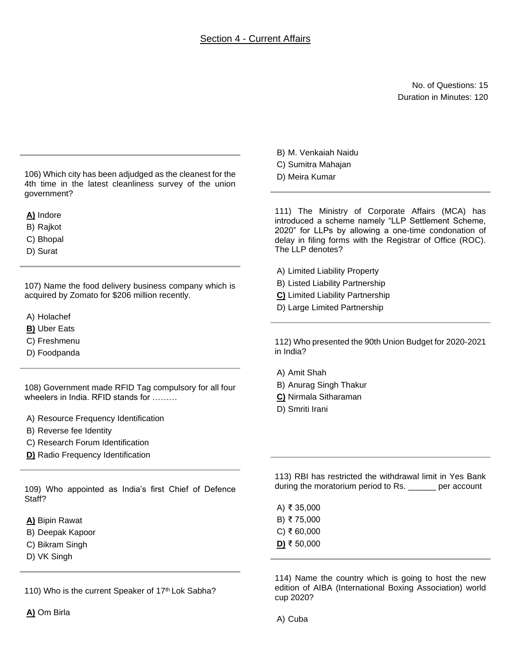## Section 4 - Current Affairs

No. of Questions: 15 Duration in Minutes: 120

106) Which city has been adjudged as the cleanest for the 4th time in the latest cleanliness survey of the union government?

**A)** Indore

B) Rajkot

C) Bhopal

D) Surat

107) Name the food delivery business company which is acquired by Zomato for \$206 million recently.

A) Holachef

**B)** Uber Eats

C) Freshmenu

D) Foodpanda

108) Government made RFID Tag compulsory for all four wheelers in India. RFID stands for ………

A) Resource Frequency Identification

B) Reverse fee Identity

C) Research Forum Identification

**D)** Radio Frequency Identification

109) Who appointed as India's first Chief of Defence Staff?

**A)** Bipin Rawat

B) Deepak Kapoor

C) Bikram Singh

D) VK Singh

110) Who is the current Speaker of 17th Lok Sabha?

B) M. Venkaiah Naidu

C) Sumitra Mahajan

D) Meira Kumar

111) The Ministry of Corporate Affairs (MCA) has introduced a scheme namely "LLP Settlement Scheme, 2020" for LLPs by allowing a one-time condonation of delay in filing forms with the Registrar of Office (ROC). The LLP denotes?

A) Limited Liability Property

B) Listed Liability Partnership

**C)** Limited Liability Partnership

D) Large Limited Partnership

112) Who presented the 90th Union Budget for 2020-2021 in India?

A) Amit Shah

B) Anurag Singh Thakur

**C)** Nirmala Sitharaman

D) Smriti Irani

113) RBI has restricted the withdrawal limit in Yes Bank during the moratorium period to Rs. \_\_\_\_\_\_ per account

A) ₹ 35,000 B) ₹ 75,000 C) ₹ 60,000 **D)** ₹ 50,000

114) Name the country which is going to host the new edition of AIBA (International Boxing Association) world cup 2020?

A) Cuba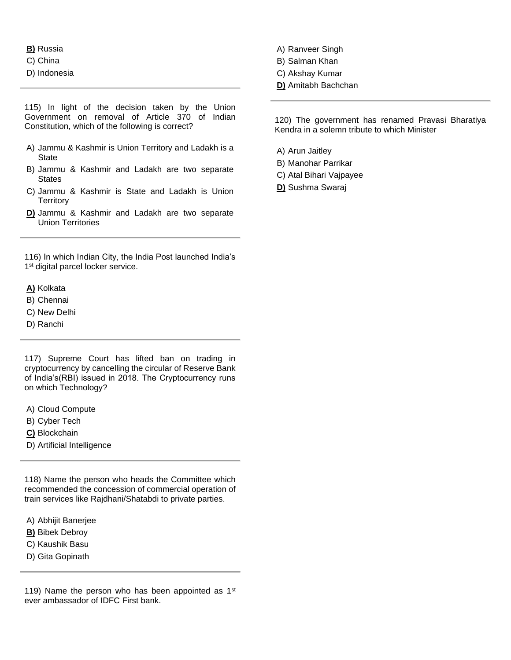**B)** Russia

- C) China
- D) Indonesia

115) In light of the decision taken by the Union Government on removal of Article 370 of Indian Constitution, which of the following is correct?

- A) Jammu & Kashmir is Union Territory and Ladakh is a State
- B) Jammu & Kashmir and Ladakh are two separate **States**
- C) Jammu & Kashmir is State and Ladakh is Union **Territory**
- **D)** Jammu & Kashmir and Ladakh are two separate Union Territories

116) In which Indian City, the India Post launched India's 1<sup>st</sup> digital parcel locker service.

### **A)** Kolkata

- B) Chennai
- C) New Delhi
- D) Ranchi

117) Supreme Court has lifted ban on trading in cryptocurrency by cancelling the circular of Reserve Bank of India's(RBI) issued in 2018. The Cryptocurrency runs on which Technology?

- A) Cloud Compute
- B) Cyber Tech
- **C)** Blockchain
- D) Artificial Intelligence

118) Name the person who heads the Committee which recommended the concession of commercial operation of train services like Rajdhani/Shatabdi to private parties.

- A) Abhijit Banerjee
- **B)** Bibek Debroy
- C) Kaushik Basu
- D) Gita Gopinath

119) Name the person who has been appointed as  $1<sup>st</sup>$ ever ambassador of IDFC First bank.

- A) Ranveer Singh
- B) Salman Khan
- C) Akshay Kumar
- **D)** Amitabh Bachchan

120) The government has renamed Pravasi Bharatiya Kendra in a solemn tribute to which Minister

- A) Arun Jaitley
- B) Manohar Parrikar
- C) Atal Bihari Vajpayee
- **D)** Sushma Swaraj